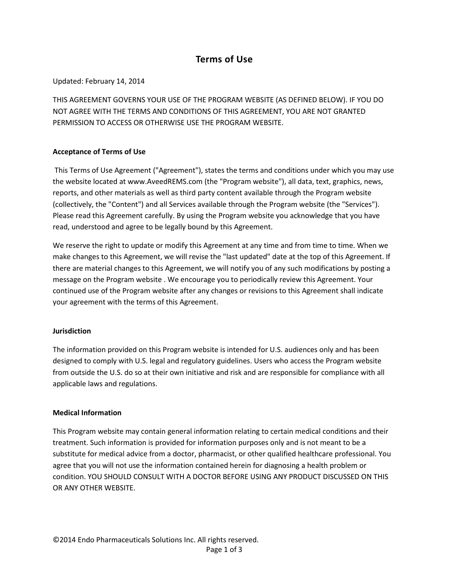# **Terms of Use**

# Updated: February 14, 2014

THIS AGREEMENT GOVERNS YOUR USE OF THE PROGRAM WEBSITE (AS DEFINED BELOW). IF YOU DO NOT AGREE WITH THE TERMS AND CONDITIONS OF THIS AGREEMENT, YOU ARE NOT GRANTED PERMISSION TO ACCESS OR OTHERWISE USE THE PROGRAM WEBSITE.

# **Acceptance of Terms of Use**

This Terms of Use Agreement ("Agreement"), states the terms and conditions under which you may use the website located at www.AveedREMS.com (the "Program website"), all data, text, graphics, news, reports, and other materials as well as third party content available through the Program website (collectively, the "Content") and all Services available through the Program website (the "Services"). Please read this Agreement carefully. By using the Program website you acknowledge that you have read, understood and agree to be legally bound by this Agreement.

We reserve the right to update or modify this Agreement at any time and from time to time. When we make changes to this Agreement, we will revise the "last updated" date at the top of this Agreement. If there are material changes to this Agreement, we will notify you of any such modifications by posting a message on the Program website . We encourage you to periodically review this Agreement. Your continued use of the Program website after any changes or revisions to this Agreement shall indicate your agreement with the terms of this Agreement.

## **Jurisdiction**

The information provided on this Program website is intended for U.S. audiences only and has been designed to comply with U.S. legal and regulatory guidelines. Users who access the Program website from outside the U.S. do so at their own initiative and risk and are responsible for compliance with all applicable laws and regulations.

## **Medical Information**

This Program website may contain general information relating to certain medical conditions and their treatment. Such information is provided for information purposes only and is not meant to be a substitute for medical advice from a doctor, pharmacist, or other qualified healthcare professional. You agree that you will not use the information contained herein for diagnosing a health problem or condition. YOU SHOULD CONSULT WITH A DOCTOR BEFORE USING ANY PRODUCT DISCUSSED ON THIS OR ANY OTHER WEBSITE.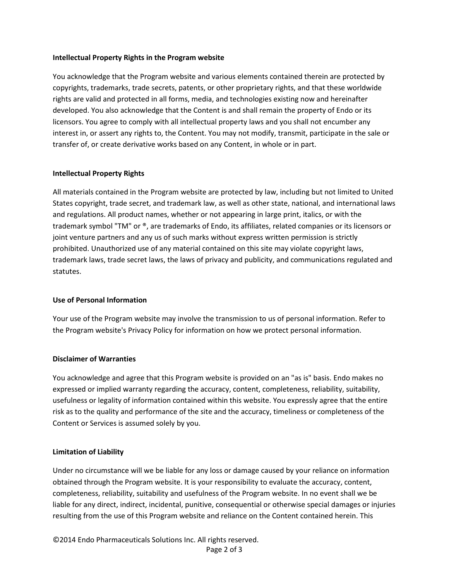## **Intellectual Property Rights in the Program website**

You acknowledge that the Program website and various elements contained therein are protected by copyrights, trademarks, trade secrets, patents, or other proprietary rights, and that these worldwide rights are valid and protected in all forms, media, and technologies existing now and hereinafter developed. You also acknowledge that the Content is and shall remain the property of Endo or its licensors. You agree to comply with all intellectual property laws and you shall not encumber any interest in, or assert any rights to, the Content. You may not modify, transmit, participate in the sale or transfer of, or create derivative works based on any Content, in whole or in part.

## **Intellectual Property Rights**

All materials contained in the Program website are protected by law, including but not limited to United States copyright, trade secret, and trademark law, as well as other state, national, and international laws and regulations. All product names, whether or not appearing in large print, italics, or with the trademark symbol "TM" or ®, are trademarks of Endo, its affiliates, related companies or its licensors or joint venture partners and any us of such marks without express written permission is strictly prohibited. Unauthorized use of any material contained on this site may violate copyright laws, trademark laws, trade secret laws, the laws of privacy and publicity, and communications regulated and statutes.

## **Use of Personal Information**

Your use of the Program website may involve the transmission to us of personal information. Refer to the Program website's Privacy Policy for information on how we protect personal information.

## **Disclaimer of Warranties**

You acknowledge and agree that this Program website is provided on an "as is" basis. Endo makes no expressed or implied warranty regarding the accuracy, content, completeness, reliability, suitability, usefulness or legality of information contained within this website. You expressly agree that the entire risk as to the quality and performance of the site and the accuracy, timeliness or completeness of the Content or Services is assumed solely by you.

## **Limitation of Liability**

Under no circumstance will we be liable for any loss or damage caused by your reliance on information obtained through the Program website. It is your responsibility to evaluate the accuracy, content, completeness, reliability, suitability and usefulness of the Program website. In no event shall we be liable for any direct, indirect, incidental, punitive, consequential or otherwise special damages or injuries resulting from the use of this Program website and reliance on the Content contained herein. This